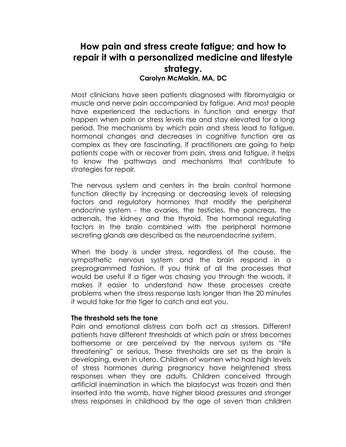# **How pain and stress create fatigue; and how to repair it with a personalized medicine and lifestyle strategy. Carolyn McMakin, MA, DC**

Most clinicians have seen patients diagnosed with fibromyalgia or muscle and nerve pain accompanied by fatigue. And most people have experienced the reductions in function and energy that happen when pain or stress levels rise and stay elevated for a long period. The mechanisms by which pain and stress lead to fatigue, hormonal changes and decreases in cognitive function are as complex as they are fascinating. If practitioners are going to help patients cope with or recover from pain, stress and fatigue, it helps to know the pathways and mechanisms that contribute to strategies for repair.

The nervous system and centers in the brain control hormone function directly by increasing or decreasing levels of releasing factors and regulatory hormones that modify the peripheral endocrine system - the ovaries, the testicles, the pancreas, the adrenals, the kidney and the thyroid. The hormonal regulating factors in the brain combined with the peripheral hormone secreting glands are described as the neuroendocrine system.

When the body is under stress, regardless of the cause, the sympathetic nervous system and the brain respond in a preprogrammed fashion. If you think of all the processes that would be useful if a tiger was chasing you through the woods, it makes it easier to understand how these processes create problems when the stress response lasts longer than the 20 minutes it would take for the tiger to catch and eat you.

## **The threshold sets the tone**

Pain and emotional distress can both act as stressors. Different patients have different thresholds at which pain or stress becomes bothersome or are perceived by the nervous system as "life threatening" or serious. These thresholds are set as the brain is developing, even in utero. Children of women who had high levels of stress hormones during pregnancy have heightened stress responses when they are adults. Children conceived through artificial insemination in which the blastocyst was frozen and then inserted into the womb, have higher blood pressures and stronger stress responses in childhood by the age of seven than children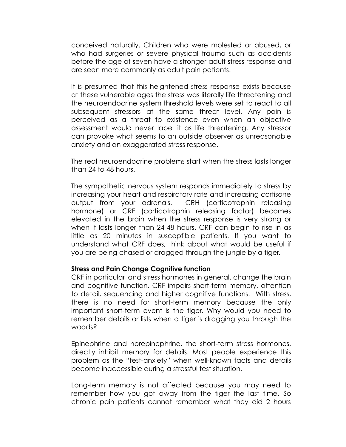conceived naturally. Children who were molested or abused, or who had surgeries or severe physical trauma such as accidents before the age of seven have a stronger adult stress response and are seen more commonly as adult pain patients.

It is presumed that this heightened stress response exists because at these vulnerable ages the stress was literally life threatening and the neuroendocrine system threshold levels were set to react to all subsequent stressors at the same threat level. Any pain is perceived as a threat to existence even when an objective assessment would never label it as life threatening. Any stressor can provoke what seems to an outside observer as unreasonable anxiety and an exaggerated stress response.

The real neuroendocrine problems start when the stress lasts longer than 24 to 48 hours.

The sympathetic nervous system responds immediately to stress by increasing your heart and respiratory rate and increasing cortisone output from your adrenals. CRH (corticotrophin releasing hormone) or CRF (corticotrophin releasing factor) becomes elevated in the brain when the stress response is very strong or when it lasts longer than 24-48 hours. CRF can begin to rise in as little as 20 minutes in susceptible patients. If you want to understand what CRF does, think about what would be useful if you are being chased or dragged through the jungle by a tiger.

#### **Stress and Pain Change Cognitive function**

CRF in particular, and stress hormones in general, change the brain and cognitive function. CRF impairs short-term memory, attention to detail, sequencing and higher cognitive functions. With stress, there is no need for short-term memory because the only important short-term event is the tiger. Why would you need to remember details or lists when a tiger is dragging you through the woods?

Epinephrine and norepinephrine, the short-term stress hormones, directly inhibit memory for details. Most people experience this problem as the "test-anxiety" when well-known facts and details become inaccessible during a stressful test situation.

Long-term memory is not affected because you may need to remember how you got away from the tiger the last time. So chronic pain patients cannot remember what they did 2 hours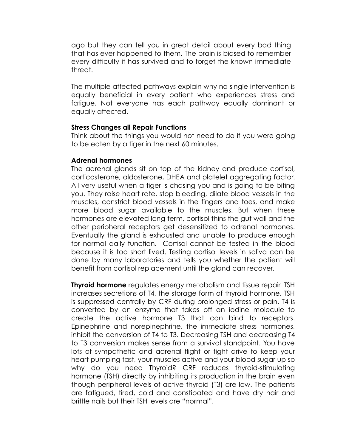ago but they can tell you in great detail about every bad thing that has ever happened to them. The brain is biased to remember every difficulty it has survived and to forget the known immediate threat.

The multiple affected pathways explain why no single intervention is equally beneficial in every patient who experiences stress and fatigue. Not everyone has each pathway equally dominant or equally affected.

#### **Stress Changes all Repair Functions**

Think about the things you would not need to do if you were going to be eaten by a tiger in the next 60 minutes.

#### **Adrenal hormones**

The adrenal glands sit on top of the kidney and produce cortisol, corticosterone, aldosterone, DHEA and platelet aggregating factor. All very useful when a tiger is chasing you and is going to be biting you. They raise heart rate, stop bleeding, dilate blood vessels in the muscles, constrict blood vessels in the fingers and toes, and make more blood sugar available to the muscles. But when these hormones are elevated long term, cortisol thins the gut wall and the other peripheral receptors get desensitized to adrenal hormones. Eventually the gland is exhausted and unable to produce enough for normal daily function. Cortisol cannot be tested in the blood because it is too short lived. Testing cortisol levels in saliva can be done by many laboratories and tells you whether the patient will benefit from cortisol replacement until the gland can recover.

**Thyroid hormone** regulates energy metabolism and tissue repair. TSH increases secretions of T4, the storage form of thyroid hormone. TSH is suppressed centrally by CRF during prolonged stress or pain. T4 is converted by an enzyme that takes off an iodine molecule to create the active hormone T3 that can bind to receptors. Epinephrine and norepinephrine, the immediate stress hormones, inhibit the conversion of T4 to T3. Decreasing TSH and decreasing T4 to T3 conversion makes sense from a survival standpoint. You have lots of sympathetic and adrenal flight or fight drive to keep your heart pumping fast, your muscles active and your blood sugar up so why do you need Thyroid? CRF reduces thyroid-stimulating hormone (TSH) directly by inhibiting its production in the brain even though peripheral levels of active thyroid (T3) are low. The patients are fatigued, tired, cold and constipated and have dry hair and brittle nails but their TSH levels are "normal".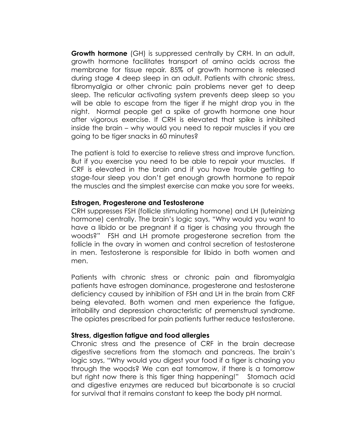**Growth hormone** (GH) is suppressed centrally by CRH. In an adult, growth hormone facilitates transport of amino acids across the membrane for tissue repair. 85% of growth hormone is released during stage 4 deep sleep in an adult. Patients with chronic stress, fibromyalgia or other chronic pain problems never get to deep sleep. The reticular activating system prevents deep sleep so you will be able to escape from the tiger if he might drop you in the night. Normal people get a spike of growth hormone one hour after vigorous exercise. If CRH is elevated that spike is inhibited inside the brain – why would you need to repair muscles if you are going to be tiger snacks in 60 minutes?

The patient is told to exercise to relieve stress and improve function. But if you exercise you need to be able to repair your muscles. If CRF is elevated in the brain and if you have trouble getting to stage-four sleep you don't get enough growth hormone to repair the muscles and the simplest exercise can make you sore for weeks.

#### **Estrogen, Progesterone and Testosterone**

CRH suppresses FSH (follicle stimulating hormone) and LH (luteinizing hormone) centrally. The brain's logic says, "Why would you want to have a libido or be pregnant if a tiger is chasing you through the woods?" FSH and LH promote progesterone secretion from the follicle in the ovary in women and control secretion of testosterone in men. Testosterone is responsible for libido in both women and men.

Patients with chronic stress or chronic pain and fibromyalgia patients have estrogen dominance, progesterone and testosterone deficiency caused by inhibition of FSH and LH in the brain from CRF being elevated. Both women and men experience the fatigue, irritability and depression characteristic of premenstrual syndrome. The opiates prescribed for pain patients further reduce testosterone.

## **Stress, digestion fatigue and food allergies**

Chronic stress and the presence of CRF in the brain decrease digestive secretions from the stomach and pancreas. The brain's logic says, "Why would you digest your food if a tiger is chasing you through the woods? We can eat tomorrow, if there is a tomorrow but right now there is this tiger thing happening!" Stomach acid and digestive enzymes are reduced but bicarbonate is so crucial for survival that it remains constant to keep the body pH normal.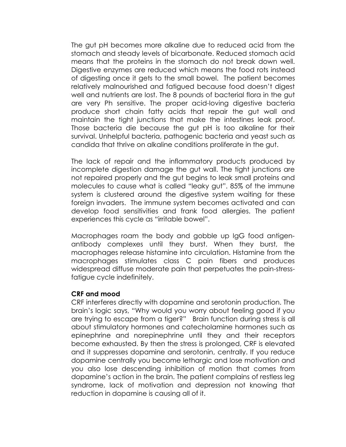The gut pH becomes more alkaline due to reduced acid from the stomach and steady levels of bicarbonate. Reduced stomach acid means that the proteins in the stomach do not break down well. Digestive enzymes are reduced which means the food rots instead of digesting once it gets to the small bowel. The patient becomes relatively malnourished and fatigued because food doesn't digest well and nutrients are lost. The 8 pounds of bacterial flora in the gut are very Ph sensitive. The proper acid-loving digestive bacteria produce short chain fatty acids that repair the gut wall and maintain the tight junctions that make the intestines leak proof. Those bacteria die because the gut pH is too alkaline for their survival. Unhelpful bacteria, pathogenic bacteria and yeast such as candida that thrive on alkaline conditions proliferate in the gut.

The lack of repair and the inflammatory products produced by incomplete digestion damage the gut wall. The tight junctions are not repaired properly and the gut begins to leak small proteins and molecules to cause what is called "leaky gut". 85% of the immune system is clustered around the digestive system waiting for these foreign invaders. The immune system becomes activated and can develop food sensitivities and frank food allergies. The patient experiences this cycle as "irritable bowel".

Macrophages roam the body and gobble up IgG food antigenantibody complexes until they burst. When they burst, the macrophages release histamine into circulation. Histamine from the macrophages stimulates class C pain fibers and produces widespread diffuse moderate pain that perpetuates the pain-stressfatigue cycle indefinitely.

#### **CRF and mood**

CRF interferes directly with dopamine and serotonin production. The brain's logic says, "Why would you worry about feeling good if you are trying to escape from a tiger?" Brain function during stress is all about stimulatory hormones and catecholamine hormones such as epinephrine and norepinephrine until they and their receptors become exhausted. By then the stress is prolonged, CRF is elevated and it suppresses dopamine and serotonin, centrally. If you reduce dopamine centrally you become lethargic and lose motivation and you also lose descending inhibition of motion that comes from dopamine's action in the brain. The patient complains of restless leg syndrome, lack of motivation and depression not knowing that reduction in dopamine is causing all of it.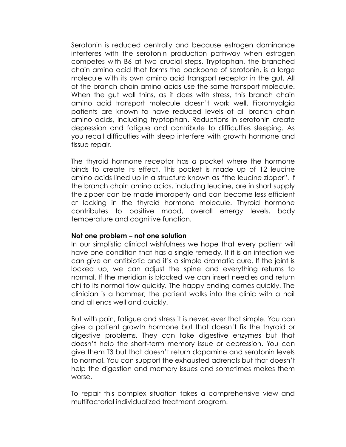Serotonin is reduced centrally and because estrogen dominance interferes with the serotonin production pathway when estrogen competes with B6 at two crucial steps. Tryptophan, the branched chain amino acid that forms the backbone of serotonin, is a large molecule with its own amino acid transport receptor in the gut. All of the branch chain amino acids use the same transport molecule. When the gut wall thins, as it does with stress, this branch chain amino acid transport molecule doesn't work well. Fibromyalgia patients are known to have reduced levels of all branch chain amino acids, including tryptophan. Reductions in serotonin create depression and fatigue and contribute to difficulties sleeping. As you recall difficulties with sleep interfere with growth hormone and tissue repair.

The thyroid hormone receptor has a pocket where the hormone binds to create its effect. This pocket is made up of 12 leucine amino acids lined up in a structure known as "the leucine zipper". If the branch chain amino acids, including leucine, are in short supply the zipper can be made improperly and can become less efficient at locking in the thyroid hormone molecule. Thyroid hormone contributes to positive mood, overall energy levels, body temperature and cognitive function.

#### **Not one problem – not one solution**

In our simplistic clinical wishfulness we hope that every patient will have one condition that has a single remedy. If it is an infection we can give an antibiotic and it's a simple dramatic cure. If the joint is locked up, we can adjust the spine and everything returns to normal. If the meridian is blocked we can insert needles and return chi to its normal flow quickly. The happy ending comes quickly. The clinician is a hammer; the patient walks into the clinic with a nail and all ends well and quickly.

But with pain, fatigue and stress it is never, ever that simple. You can give a patient growth hormone but that doesn't fix the thyroid or digestive problems. They can take digestive enzymes but that doesn't help the short-term memory issue or depression. You can give them T3 but that doesn't return dopamine and serotonin levels to normal. You can support the exhausted adrenals but that doesn't help the digestion and memory issues and sometimes makes them worse.

To repair this complex situation takes a comprehensive view and multifactorial individualized treatment program.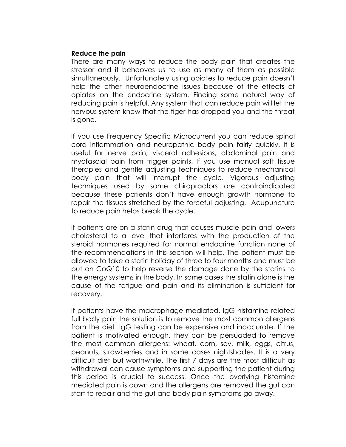### **Reduce the pain**

There are many ways to reduce the body pain that creates the stressor and it behooves us to use as many of them as possible simultaneously. Unfortunately using opiates to reduce pain doesn't help the other neuroendocrine issues because of the effects of opiates on the endocrine system. Finding some natural way of reducing pain is helpful. Any system that can reduce pain will let the nervous system know that the tiger has dropped you and the threat is gone.

If you use Frequency Specific Microcurrent you can reduce spinal cord inflammation and neuropathic body pain fairly quickly. It is useful for nerve pain, visceral adhesions, abdominal pain and myofascial pain from trigger points. If you use manual soft tissue therapies and gentle adjusting techniques to reduce mechanical body pain that will interrupt the cycle. Vigorous adjusting techniques used by some chiropractors are contraindicated because these patients don't have enough growth hormone to repair the tissues stretched by the forceful adjusting. Acupuncture to reduce pain helps break the cycle.

If patients are on a statin drug that causes muscle pain and lowers cholesterol to a level that interferes with the production of the steroid hormones required for normal endocrine function none of the recommendations in this section will help. The patient must be allowed to take a statin holiday of three to four months and must be put on CoQ10 to help reverse the damage done by the statins to the energy systems in the body. In some cases the statin alone is the cause of the fatigue and pain and its elimination is sufficient for recovery.

If patients have the macrophage mediated, IgG histamine related full body pain the solution is to remove the most common allergens from the diet. IgG testing can be expensive and inaccurate. If the patient is motivated enough, they can be persuaded to remove the most common allergens: wheat, corn, soy, milk, eggs, citrus, peanuts, strawberries and in some cases nightshades. It is a very difficult diet but worthwhile. The first 7 days are the most difficult as withdrawal can cause symptoms and supporting the patient during this period is crucial to success. Once the overlying histamine mediated pain is down and the allergens are removed the gut can start to repair and the gut and body pain symptoms go away.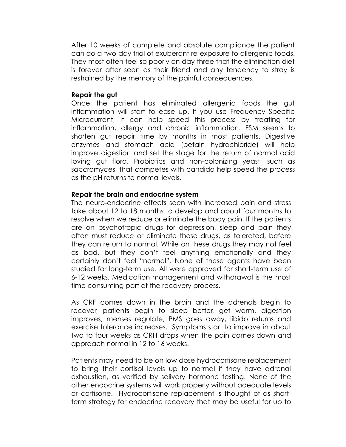After 10 weeks of complete and absolute compliance the patient can do a two-day trial of exuberant re-exposure to allergenic foods. They most often feel so poorly on day three that the elimination diet is forever after seen as their friend and any tendency to stray is restrained by the memory of the painful consequences.

### **Repair the gut**

Once the patient has eliminated allergenic foods the gut inflammation will start to ease up. If you use Frequency Specific Microcurrent, it can help speed this process by treating for inflammation, allergy and chronic inflammation. FSM seems to shorten gut repair time by months in most patients. Digestive enzymes and stomach acid (betain hydrochloride) will help improve digestion and set the stage for the return of normal acid loving gut flora. Probiotics and non-colonizing yeast, such as saccromyces, that competes with candida help speed the process as the pH returns to normal levels.

## **Repair the brain and endocrine system**

The neuro-endocrine effects seen with increased pain and stress take about 12 to 18 months to develop and about four months to resolve when we reduce or eliminate the body pain. If the patients are on psychotropic drugs for depression, sleep and pain they often must reduce or eliminate these drugs, as tolerated, before they can return to normal. While on these drugs they may not feel as bad, but they don't feel anything emotionally and they certainly don't feel "normal". None of these agents have been studied for long-term use. All were approved for short-term use of 6-12 weeks. Medication management and withdrawal is the most time consuming part of the recovery process.

As CRF comes down in the brain and the adrenals begin to recover, patients begin to sleep better, get warm, digestion improves, menses regulate, PMS goes away, libido returns and exercise tolerance increases. Symptoms start to improve in about two to four weeks as CRH drops when the pain comes down and approach normal in 12 to 16 weeks.

Patients may need to be on low dose hydrocortisone replacement to bring their cortisol levels up to normal if they have adrenal exhaustion, as verified by salivary hormone testing. None of the other endocrine systems will work properly without adequate levels or cortisone. Hydrocortisone replacement is thought of as shortterm strategy for endocrine recovery that may be useful for up to